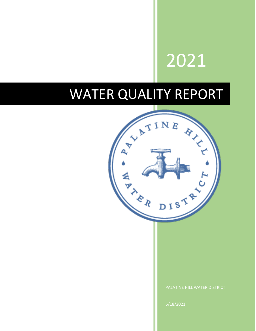# 2021

## WATER QUALITY REPORT

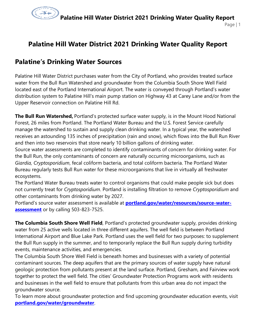

## **Palatine Hill Water District 2021 Drinking Water Quality Report**

## **Palatine's Drinking Water Sources**

Palatine Hill Water District purchases water from the City of Portland, who provides treated surface water from the Bull Run Watershed and groundwater from the Columbia South Shore Well Field located east of the Portland International Airport. The water is conveyed through Portland's water distribution system to Palatine Hill's main pump station on Highway 43 at Carey Lane and/or from the Upper Reservoir connection on Palatine Hill Rd.

**The Bull Run Watershed,** Portland's protected surface water supply, is in the Mount Hood National Forest, 26 miles from Portland. The Portland Water Bureau and the U.S. Forest Service carefully manage the watershed to sustain and supply clean drinking water. In a typical year, the watershed receives an astounding 135 inches of precipitation (rain and snow), which flows into the Bull Run River and then into two reservoirs that store nearly 10 billion gallons of drinking water.

Source water assessments are completed to identify contaminants of concern for drinking water. For the Bull Run, the only contaminants of concern are naturally occurring microorganisms, such as *Giardia, Cryptosporidium*, fecal coliform bacteria, and total coliform bacteria. The Portland Water Bureau regularly tests Bull Run water for these microorganisms that live in virtually all freshwater ecosystems.

The Portland Water Bureau treats water to control organisms that could make people sick but does not currently treat for *Cryptosporidium*. Portland is installing filtration to remove *Cryptosporidium* and other contaminants from drinking water by 2027.

Portland's source water assessment is available at **[portland.gov/water/resources/source-water](http://www.portland.gov/water/resources/source-water-assessment)[assessment](http://www.portland.gov/water/resources/source-water-assessment)** or by calling 503-823-7525.

**The Columbia South Shore Well Field**, Portland's protected groundwater supply, provides drinking water from 25 active wells located in three different aquifers. The well field is between Portland International Airport and Blue Lake Park. Portland uses the well field for two purposes: to supplement the Bull Run supply in the summer, and to temporarily replace the Bull Run supply during turbidity events, maintenance activities, and emergencies.

The Columbia South Shore Well Field is beneath homes and businesses with a variety of potential contaminant sources. The deep aquifers that are the primary sources of water supply have natural geologic protection from pollutants present at the land surface. Portland, Gresham, and Fairview work together to protect the well field. The cities' Groundwater Protection Programs work with residents and businesses in the well field to ensure that pollutants from this urban area do not impact the groundwater source.

To learn more about groundwater protection and find upcoming groundwater education events, visit **[portland.gov/water/groundwater](http://www.portlandoregon.gov/water/groundwater)**.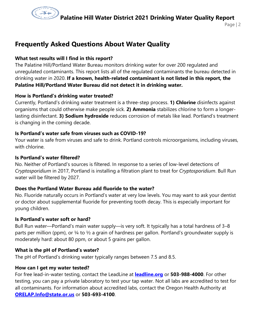

Page | 2

## **Frequently Asked Questions About Water Quality**

#### **What test results will I find in this report?**

The Palatine Hill/Portland Water Bureau monitors drinking water for over 200 regulated and unregulated contaminants. This report lists all of the regulated contaminants the bureau detected in drinking water in 2020. **If a known, health-related contaminant is not listed in this report, the Palatine Hill/Portland Water Bureau did not detect it in drinking water.**

#### **How is Portland's drinking water treated?**

Currently, Portland's drinking water treatment is a three-step process. **1) Chlorine** disinfects against organisms that could otherwise make people sick. **2) Ammonia** stabilizes chlorine to form a longerlasting disinfectant. **3) Sodium hydroxide** reduces corrosion of metals like lead. Portland's treatment is changing in the coming decade.

#### **Is Portland's water safe from viruses such as COVID-19?**

Your water is safe from viruses and safe to drink. Portland controls microorganisms, including viruses, with chlorine.

#### **Is Portland's water filtered?**

No. Neither of Portland's sources is filtered. In response to a series of low-level detections of *Cryptosporidium* in 2017, Portland is installing a filtration plant to treat for *Cryptosporidium*. Bull Run water will be filtered by 2027.

#### **Does the Portland Water Bureau add fluoride to the water?**

No. Fluoride naturally occurs in Portland's water at very low levels. You may want to ask your dentist or doctor about supplemental fluoride for preventing tooth decay. This is especially important for young children.

#### **Is Portland's water soft or hard?**

Bull Run water—Portland's main water supply—is very soft. It typically has a total hardness of 3–8 parts per million (ppm), or  $\frac{1}{4}$  to  $\frac{1}{2}$  a grain of hardness per gallon. Portland's groundwater supply is moderately hard: about 80 ppm, or about 5 grains per gallon.

#### **What is the pH of Portland's water?**

The pH of Portland's drinking water typically ranges between 7.5 and 8.5.

#### **How can I get my water tested?**

For free lead-in-water testing, contact the LeadLine at **[leadline.org](http://www.leadline.org/)** or **503-988-4000**. For other testing, you can pay a private laboratory to test your tap water. Not all labs are accredited to test for all contaminants. For information about accredited labs, contact the Oregon Health Authority at **[ORELAP.Info@state.or.us](mailto:ORELAP.Info@state.or.us)** or **503-693-4100**.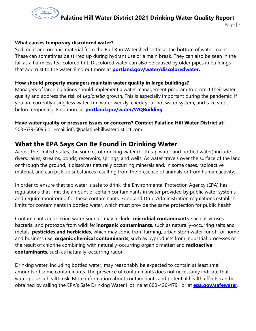

#### **What causes temporary discolored water?**

Sediment and organic material from the Bull Run Watershed settle at the bottom of water mains. These can sometimes be stirred up during hydrant use or a main break. They can also be seen in the fall as a harmless tea-colored tint. Discolored water can also be caused by older pipes in buildings that add rust to the water. Find out more at **[portland.gov/water/discoloredwater.](http://www.portlandoregon.gov/water/discoloredwater)**

#### **How should property managers maintain water quality in large buildings?**

Managers of large buildings should implement a water management program to protect their water quality and address the risk of *Legionella* growth. This is especially important during the pandemic. If you are currently using less water, run water weekly, check your hot water system, and take steps before reopening. Find more at **[portland.gov/water/WQBuilding](http://www.portland.gov/water/WQBuilding)**.

## **Have water quality or pressure issues or concerns? Contact Palatine Hill Water District at:**

503-639-5096 or email info@palatinehillwaterdistrict.com

## **What the EPA Says Can Be Found in Drinking Water**

Across the United States, the sources of drinking water (both tap water and bottled water) include rivers, lakes, streams, ponds, reservoirs, springs, and wells. As water travels over the surface of the land or through the ground, it dissolves naturally occurring minerals and, in some cases, radioactive material, and can pick up substances resulting from the presence of animals or from human activity.

In order to ensure that tap water is safe to drink, the Environmental Protection Agency (EPA) has regulations that limit the amount of certain contaminants in water provided by public water systems and require monitoring for these contaminants. Food and Drug Administration regulations establish limits for contaminants in bottled water, which must provide the same protection for public health.

Contaminants in drinking water sources may include: **microbial contaminants**, such as viruses, bacteria, and protozoa from wildlife; **inorganic contaminants**, such as naturally-occurring salts and metals; **pesticides and herbicides**, which may come from farming, urban stormwater runoff, or home and business use; **organic chemical contaminants**, such as byproducts from industrial processes or the result of chlorine combining with naturally-occurring organic matter; and **radioactive contaminants**, such as naturally-occurring radon.

Drinking water, including bottled water, may reasonably be expected to contain at least small amounts of some contaminants. The presence of contaminants does not necessarily indicate that water poses a health risk. More information about contaminants and potential health effects can be obtained by calling the EPA's Safe Drinking Water Hotline at 800-426-4791 or at **[epa.gov/safewater](http://www.epa.gov/safewater)**.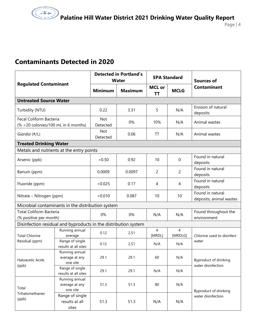## **Contaminants Detected in 2020**

| <b>Regulated Contaminant</b>                                    |                                              | <b>Detected in Portland's</b><br><b>Water</b> |                | <b>EPA Standard</b> |                           | <b>Sources of</b>                           |  |
|-----------------------------------------------------------------|----------------------------------------------|-----------------------------------------------|----------------|---------------------|---------------------------|---------------------------------------------|--|
|                                                                 |                                              | <b>Minimum</b>                                | <b>Maximum</b> | <b>MCL or</b><br>ΤT | <b>MCLG</b>               | <b>Contaminant</b>                          |  |
| <b>Untreated Source Water</b>                                   |                                              |                                               |                |                     |                           |                                             |  |
| Turbidity (NTU)                                                 |                                              | 0.22                                          | 3.31           | 5                   | N/A                       | Erosion of natural<br>deposits              |  |
| Fecal Coliform Bacteria<br>(% > 20 colonies/100 mL in 6 months) |                                              | <b>Not</b><br>Detected                        | 0%             | 10%                 | N/A                       | Animal wastes                               |  |
| Giardia (#/L)                                                   |                                              | <b>Not</b><br>Detected                        | 0.06           | TT                  | N/A                       | Animal wastes                               |  |
| <b>Treated Drinking Water</b>                                   |                                              |                                               |                |                     |                           |                                             |  |
| Metals and nutrients at the entry points                        |                                              |                                               |                |                     |                           |                                             |  |
| Arsenic (ppb)                                                   |                                              | < 0.50                                        | 0.92           | 10                  | 0                         | Found in natural<br>deposits                |  |
| Barium (ppm)                                                    |                                              | 0.0009                                        | 0.0097         | 2                   | $\overline{2}$            | Found in natural<br>deposits                |  |
| Fluoride (ppm)                                                  |                                              | < 0.025                                       | 0.17           | 4                   | 4                         | Found in natural<br>deposits                |  |
| Nitrate - Nitrogen (ppm)                                        |                                              | < 0.010                                       | 0.087          | 10                  | 10                        | Found in natural<br>deposits; animal wastes |  |
| Microbial contaminants in the distribution system               |                                              |                                               |                |                     |                           |                                             |  |
| <b>Total Coliform Bacteria</b><br>(% positive per month)        |                                              | 0%                                            | 0%             | N/A                 | N/A                       | Found throughout the<br>environment         |  |
| Disinfection residual and byproducts in the distribution system |                                              |                                               |                |                     |                           |                                             |  |
| <b>Total Chlorine</b><br>Residual (ppm)                         | Running annual<br>average                    | 0.12                                          | 2.51           | 4<br>[MRDL]         | $\overline{4}$<br>[MRDLG] | Chlorine used to disinfect<br>water         |  |
|                                                                 | Range of single<br>results at all sites      | 0.12                                          | 2.51           | N/A                 | N/A                       |                                             |  |
| Haloacetic Acids<br>(ppb)                                       | Running annual<br>average at any<br>one site | 29.1                                          | 29.1           | 60                  | N/A                       | Byproduct of drinking<br>water disinfection |  |
|                                                                 | Range of single<br>results at all sites      | 29.1                                          | 29.1           | N/A                 | N/A                       |                                             |  |
| Total<br>Trihalomethanes<br>(ppb)                               | Running annual<br>average at any<br>one site | 51.3                                          | 51.3           | 80                  | N/A                       | Byproduct of drinking<br>water disinfection |  |
|                                                                 | Range of single<br>results at all<br>sites   | 51.3                                          | 51.3           | N/A                 | N/A                       |                                             |  |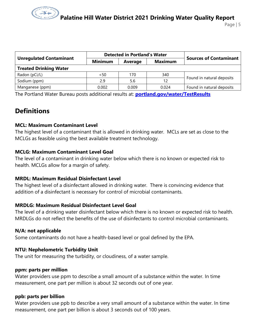Page | 5

|                                |                | <b>Detected in Portland's Water</b> |                |                               |  |  |
|--------------------------------|----------------|-------------------------------------|----------------|-------------------------------|--|--|
| <b>Unregulated Contaminant</b> | <b>Minimum</b> | Average                             | <b>Maximum</b> | <b>Sources of Contaminant</b> |  |  |
| <b>Treated Drinking Water</b>  |                |                                     |                |                               |  |  |
| Radon (pCi/L)                  | < 50           | 170                                 | 340            | Found in natural deposits     |  |  |
| Sodium (ppm)                   | 2.9            | 5.6                                 | 12             |                               |  |  |
| Manganese (ppm)                | 0.002          | 0.009                               | 0.024          | Found in natural deposits     |  |  |

The Portland Water Bureau posts additional results at: **[portland.gov/water/TestResults](http://www.portland.gov/water/TestResults)**

## **Definitions**

#### **MCL: Maximum Contaminant Level**

The highest level of a contaminant that is allowed in drinking water. MCLs are set as close to the MCLGs as feasible using the best available treatment technology.

#### **MCLG: Maximum Contaminant Level Goal**

The level of a contaminant in drinking water below which there is no known or expected risk to health. MCLGs allow for a margin of safety.

#### **MRDL: Maximum Residual Disinfectant Level**

The highest level of a disinfectant allowed in drinking water. There is convincing evidence that addition of a disinfectant is necessary for control of microbial contaminants.

#### **MRDLG: Maximum Residual Disinfectant Level Goal**

The level of a drinking water disinfectant below which there is no known or expected risk to health. MRDLGs do not reflect the benefits of the use of disinfectants to control microbial contaminants.

#### **N/A: not applicable**

Some contaminants do not have a health-based level or goal defined by the EPA.

#### **NTU: Nephelometric Turbidity Unit**

The unit for measuring the turbidity, or cloudiness, of a water sample.

#### **ppm: parts per million**

Water providers use ppm to describe a small amount of a substance within the water. In time measurement, one part per million is about 32 seconds out of one year.

#### **ppb: parts per billion**

Water providers use ppb to describe a very small amount of a substance within the water. In time measurement, one part per billion is about 3 seconds out of 100 years.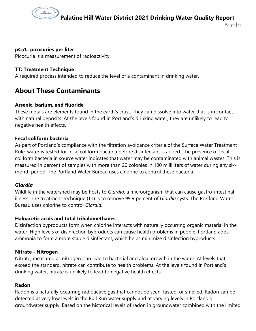

Page | 6

#### **pCi/L: picocuries per liter**

Picocurie is a measurement of radioactivity.

#### **TT: Treatment Technique**

A required process intended to reduce the level of a contaminant in drinking water.

### **About These Contaminants**

#### **Arsenic, barium, and fluoride**

These metals are elements found in the earth's crust. They can dissolve into water that is in contact with natural deposits. At the levels found in Portland's drinking water, they are unlikely to lead to negative health effects.

#### **Fecal coliform bacteria**

As part of Portland's compliance with the filtration avoidance criteria of the Surface Water Treatment Rule, water is tested for fecal coliform bacteria before disinfectant is added. The presence of fecal coliform bacteria in source water indicates that water may be contaminated with animal wastes. This is measured in percent of samples with more than 20 colonies in 100 milliliters of water during any sixmonth period. The Portland Water Bureau uses chlorine to control these bacteria.

#### *Giardia*

Wildlife in the watershed may be hosts to *Giardia*, a microorganism that can cause gastro-intestinal illness. The treatment technique (TT) is to remove 99.9 percent of *Giardia* cysts. The Portland Water Bureau uses chlorine to control *Giardia*.

#### **Haloacetic acids and total trihalomethanes**

Disinfection byproducts form when chlorine interacts with naturally occurring organic material in the water. High levels of disinfection byproducts can cause health problems in people. Portland adds ammonia to form a more stable disinfectant, which helps minimize disinfection byproducts.

#### **Nitrate - Nitrogen**

Nitrate, measured as nitrogen, can lead to bacterial and algal growth in the water. At levels that exceed the standard, nitrate can contribute to health problems. At the levels found in Portland's drinking water, nitrate is unlikely to lead to negative health effects.

#### **Radon**

Radon is a naturally occurring radioactive gas that cannot be seen, tasted, or smelled. Radon can be detected at very low levels in the Bull Run water supply and at varying levels in Portland's groundwater supply. Based on the historical levels of radon in groundwater combined with the limited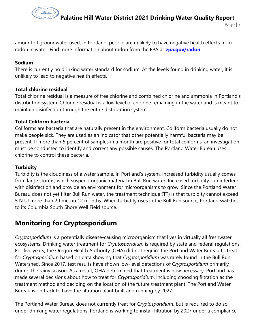

Page | 7

amount of groundwater used, in Portland, people are unlikely to have negative health effects from radon in water. Find more information about radon from the EPA at **epa.gov/radon**.

#### **Sodium**

There is currently no drinking water standard for sodium. At the levels found in drinking water, it is unlikely to lead to negative health effects.

#### **Total chlorine residual**

Total chlorine residual is a measure of free chlorine and combined chlorine and ammonia in Portland's distribution system. Chlorine residual is a low level of chlorine remaining in the water and is meant to maintain disinfection through the entire distribution system.

#### **Total Coliform bacteria**

Coliforms are bacteria that are naturally present in the environment. Coliform bacteria usually do not make people sick. They are used as an indicator that other potentially harmful bacteria may be present. If more than 5 percent of samples in a month are positive for total coliforms, an investigation must be conducted to identify and correct any possible causes. The Portland Water Bureau uses chlorine to control these bacteria.

#### **Turbidity**

Turbidity is the cloudiness of a water sample. In Portland's system, increased turbidity usually comes from large storms, which suspend organic material in Bull Run water. Increased turbidity can interfere with disinfection and provide an environment for microorganisms to grow. Since the Portland Water Bureau does not yet filter Bull Run water, the treatment technique (TT) is that turbidity cannot exceed 5 NTU more than 2 times in 12 months. When turbidity rises in the Bull Run source, Portland switches to its Columbia South Shore Well Field source.

### **Monitoring for Cryptosporidium**

*Cryptosporidium* is a potentially disease-causing microorganism that lives in virtually all freshwater ecosystems. Drinking water treatment for *Cryptosporidium* is required by state and federal regulations. For five years, the Oregon Health Authority (OHA) did not require the Portland Water Bureau to treat for *Cryptosporidium* based on data showing that *Cryptosporidium* was rarely found in the Bull Run Watershed. Since 2017, test results have shown low-level detections of *Cryptosporidium* primarily during the rainy season. As a result, OHA determined that treatment is now necessary. Portland has made several decisions about how to treat for *Cryptosporidium*, including choosing filtration as the treatment method and deciding on the location of the future treatment plant. The Portland Water Bureau is on track to have the filtration plant built and running by 2027.

The Portland Water Bureau does not currently treat for *Cryptosporidium*, but is required to do so under drinking water regulations. Portland is working to install filtration by 2027 under a compliance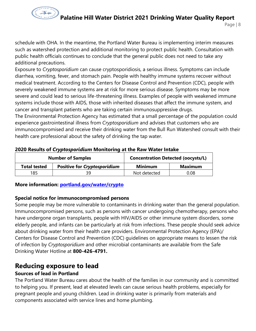

Page | 8

schedule with OHA. In the meantime, the Portland Water Bureau is implementing interim measures such as watershed protection and additional monitoring to protect public health. Consultation with public health officials continues to conclude that the general public does not need to take any additional precautions.

Exposure to *Cryptosporidium* can cause cryptosporidiosis, a serious illness. Symptoms can include diarrhea, vomiting, fever, and stomach pain. People with healthy immune systems recover without medical treatment. According to the Centers for Disease Control and Prevention (CDC), people with severely weakened immune systems are at risk for more serious disease. Symptoms may be more severe and could lead to serious life-threatening illness. Examples of people with weakened immune systems include those with AIDS, those with inherited diseases that affect the immune system, and cancer and transplant patients who are taking certain immunosuppressive drugs.

The Environmental Protection Agency has estimated that a small percentage of the population could experience gastrointestinal illness from *Cryptosporidium* and advises that customers who are immunocompromised and receive their drinking water from the Bull Run Watershed consult with their health care professional about the safety of drinking the tap water.

|                     | <b>Number of Samples</b>            | <b>Concentration Detected (oocysts/L)</b> |                |  |
|---------------------|-------------------------------------|-------------------------------------------|----------------|--|
| <b>Total tested</b> | <b>Positive for Cryptosporidium</b> |                                           | <b>Maximum</b> |  |
| 185                 | ςq                                  | Not detected                              | 0.08           |  |

#### **2020 Results of** *Cryptosporidium* **Monitoring at the Raw Water Intake**

#### **More information: [portland.gov/water/crypto](http://www.portlandoregon.gov/water/crypto)**

#### **Special notice for immunocompromised persons**

Some people may be more vulnerable to contaminants in drinking water than the general population. Immunocompromised persons, such as persons with cancer undergoing chemotherapy, persons who have undergone organ transplants, people with HIV/AIDS or other immune system disorders, some elderly people, and infants can be particularly at risk from infections. These people should seek advice about drinking water from their health care providers. Environmental Protection Agency (EPA)/ Centers for Disease Control and Prevention (CDC) guidelines on appropriate means to lessen the risk of infection by *Cryptosporidium* and other microbial contaminants are available from the Safe Drinking Water Hotline at **800-426-4791.**

### **Reducing exposure to lead**

#### **Sources of lead in Portland**

The Portland Water Bureau cares about the health of the families in our community and is committed to helping you. If present, lead at elevated levels can cause serious health problems, especially for pregnant people and young children. Lead in drinking water is primarily from materials and components associated with service lines and home plumbing.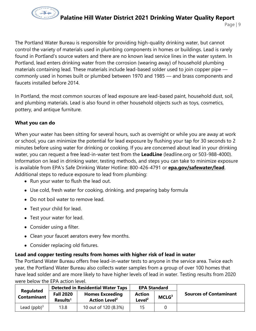

The Portland Water Bureau is responsible for providing high-quality drinking water, but cannot control the variety of materials used in plumbing components in homes or buildings. Lead is rarely found in Portland's source waters and there are no known lead service lines in the water system. In Portland, lead enters drinking water from the corrosion (wearing away) of household plumbing materials containing lead. These materials include lead-based solder used to join copper pipe commonly used in homes built or plumbed between 1970 and 1985 — and brass components and faucets installed before 2014.

In Portland, the most common sources of lead exposure are lead-based paint, household dust, soil, and plumbing materials. Lead is also found in other household objects such as toys, cosmetics, pottery, and antique furniture.

#### **What you can do**

When your water has been sitting for several hours, such as overnight or while you are away at work or school, you can minimize the potential for lead exposure by flushing your tap for 30 seconds to 2 minutes before using water for drinking or cooking. If you are concerned about lead in your drinking water, you can request a free lead-in-water test from the **LeadLine** (leadline.org or 503-988-4000). Information on lead in drinking water, testing methods, and steps you can take to minimize exposure is available from EPA's Safe Drinking Water Hotline: 800-426-4791 or **[epa.gov/safewater/lead](http://www.epa.gov/safewater/lead)**. Additional steps to reduce exposure to lead from plumbing:

- Run your water to flush the lead out.
- Use cold, fresh water for cooking, drinking, and preparing baby formula
- Do not boil water to remove lead.
- Test your child for lead.
- Test your water for lead.
- Consider using a filter.
- Clean your faucet aerators every few months.
- Consider replacing old fixtures.

#### **Lead and copper testing results from homes with higher risk of lead in water**

The Portland Water Bureau offers free lead-in-water tests to anyone in the service area. Twice each year, the Portland Water Bureau also collects water samples from a group of over 100 homes that have lead solder and are more likely to have higher levels of lead in water. Testing results from 2020 were below the EPA action level.

| <b>Regulated</b>   | <b>Detected in Residential Water Taps</b> |                                                           | <b>EPA Standard</b>                 |                   |                               |
|--------------------|-------------------------------------------|-----------------------------------------------------------|-------------------------------------|-------------------|-------------------------------|
| <b>Contaminant</b> | <b>Fall 2020</b><br>Results <sup>1</sup>  | <b>Homes Exceeding</b><br><b>Action Level<sup>2</sup></b> | <b>Action</b><br>Level <sup>2</sup> | MCLG <sup>3</sup> | <b>Sources of Contaminant</b> |
| Lead $(ppb)^3$     | 13.8                                      | 10 out of 120 (8.3%)                                      | 15.                                 |                   |                               |